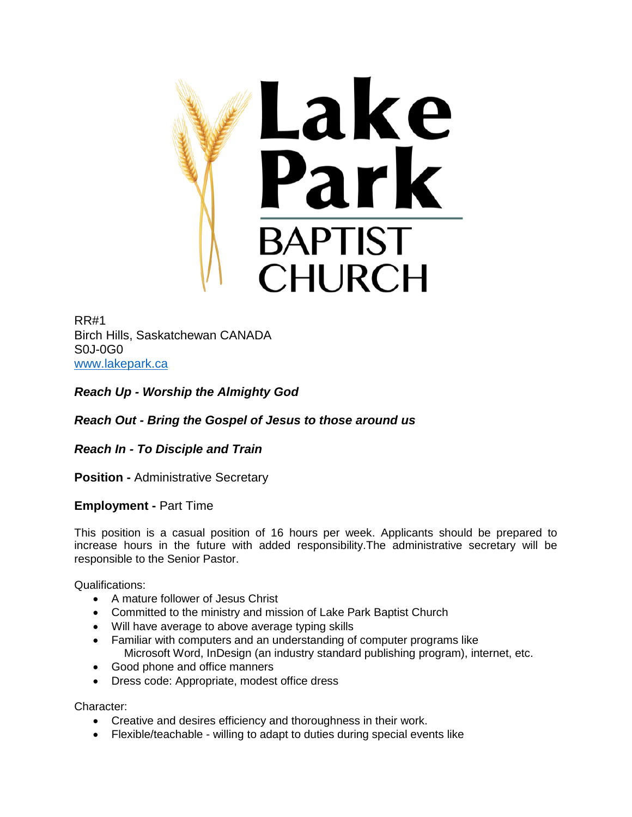

RR#1 Birch Hills, Saskatchewan CANADA S0J-0G0 [www.lakepark.ca](http://www.lakepark.ca/)

*Reach Up - Worship the Almighty God*

*Reach Out - Bring the Gospel of Jesus to those around us*

*Reach In - To Disciple and Train*

**Position -** Administrative Secretary

**Employment -** Part Time

This position is a casual position of 16 hours per week. Applicants should be prepared to increase hours in the future with added responsibility.The administrative secretary will be responsible to the Senior Pastor.

Qualifications:

- A mature follower of Jesus Christ
- Committed to the ministry and mission of Lake Park Baptist Church
- Will have average to above average typing skills
- Familiar with computers and an understanding of computer programs like Microsoft Word, InDesign (an industry standard publishing program), internet, etc.
- Good phone and office manners
- Dress code: Appropriate, modest office dress

Character:

- Creative and desires efficiency and thoroughness in their work.
- Flexible/teachable willing to adapt to duties during special events like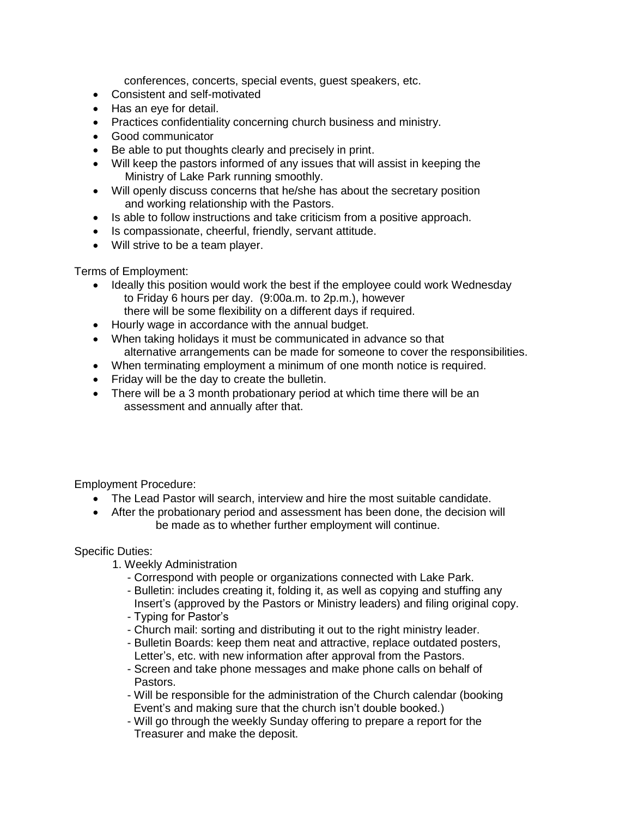conferences, concerts, special events, guest speakers, etc.

- Consistent and self-motivated
- Has an eye for detail.
- Practices confidentiality concerning church business and ministry.
- Good communicator
- Be able to put thoughts clearly and precisely in print.
- Will keep the pastors informed of any issues that will assist in keeping the Ministry of Lake Park running smoothly.
- Will openly discuss concerns that he/she has about the secretary position and working relationship with the Pastors.
- Is able to follow instructions and take criticism from a positive approach.
- Is compassionate, cheerful, friendly, servant attitude.
- Will strive to be a team player.

Terms of Employment:

- Ideally this position would work the best if the employee could work Wednesday to Friday 6 hours per day. (9:00a.m. to 2p.m.), however there will be some flexibility on a different days if required.
- Hourly wage in accordance with the annual budget.
- When taking holidays it must be communicated in advance so that alternative arrangements can be made for someone to cover the responsibilities.
- When terminating employment a minimum of one month notice is required.
- Friday will be the day to create the bulletin.
- There will be a 3 month probationary period at which time there will be an assessment and annually after that.

Employment Procedure:

- The Lead Pastor will search, interview and hire the most suitable candidate.
- After the probationary period and assessment has been done, the decision will be made as to whether further employment will continue.

Specific Duties:

- 1. Weekly Administration
	- Correspond with people or organizations connected with Lake Park.
	- Bulletin: includes creating it, folding it, as well as copying and stuffing any Insert's (approved by the Pastors or Ministry leaders) and filing original copy.
	- Typing for Pastor's
	- Church mail: sorting and distributing it out to the right ministry leader.
	- Bulletin Boards: keep them neat and attractive, replace outdated posters, Letter's, etc. with new information after approval from the Pastors.
	- Screen and take phone messages and make phone calls on behalf of Pastors.
	- Will be responsible for the administration of the Church calendar (booking Event's and making sure that the church isn't double booked.)
	- Will go through the weekly Sunday offering to prepare a report for the Treasurer and make the deposit.